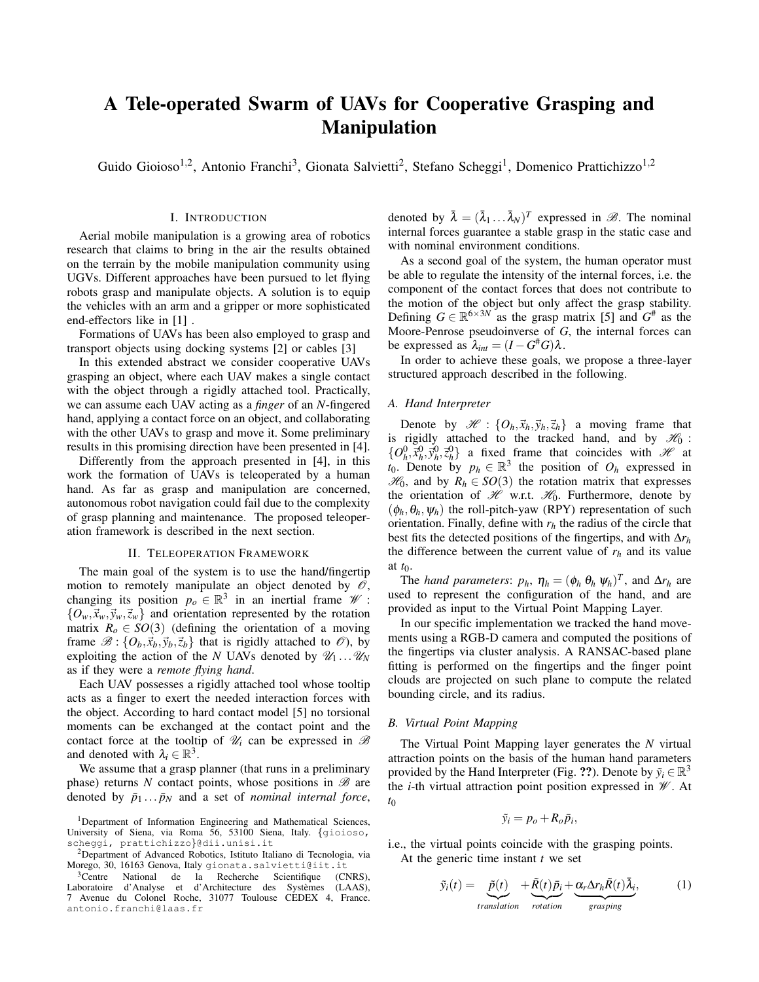# A Tele-operated Swarm of UAVs for Cooperative Grasping and Manipulation

Guido Gioioso<sup>1,2</sup>, Antonio Franchi<sup>3</sup>, Gionata Salvietti<sup>2</sup>, Stefano Scheggi<sup>1</sup>, Domenico Prattichizzo<sup>1,2</sup>

### I. INTRODUCTION

Aerial mobile manipulation is a growing area of robotics research that claims to bring in the air the results obtained on the terrain by the mobile manipulation community using UGVs. Different approaches have been pursued to let flying robots grasp and manipulate objects. A solution is to equip the vehicles with an arm and a gripper or more sophisticated end-effectors like in [1] .

Formations of UAVs has been also employed to grasp and transport objects using docking systems [2] or cables [3]

In this extended abstract we consider cooperative UAVs grasping an object, where each UAV makes a single contact with the object through a rigidly attached tool. Practically, we can assume each UAV acting as a *finger* of an *N*-fingered hand, applying a contact force on an object, and collaborating with the other UAVs to grasp and move it. Some preliminary results in this promising direction have been presented in [4].

Differently from the approach presented in [4], in this work the formation of UAVs is teleoperated by a human hand. As far as grasp and manipulation are concerned, autonomous robot navigation could fail due to the complexity of grasp planning and maintenance. The proposed teleoperation framework is described in the next section.

## II. TELEOPERATION FRAMEWORK

The main goal of the system is to use the hand/fingertip motion to remotely manipulate an object denoted by  $\mathcal{O}$ , changing its position  $p_o \in \mathbb{R}^3$  in an inertial frame  $\mathscr{W}$ :  $\{O_w, \vec{x}_w, \vec{y}_w, \vec{z}_w\}$  and orientation represented by the rotation matrix  $R_0 \in SO(3)$  (defining the orientation of a moving frame  $\mathscr{B}: \{O_b, \vec{x}_b, \vec{y}_b, \vec{z}_b\}$  that is rigidly attached to  $\mathscr{O}$ ), by exploiting the action of the *N* UAVs denoted by  $\mathcal{U}_1 \dots \mathcal{U}_N$ as if they were a *remote flying hand*.

Each UAV possesses a rigidly attached tool whose tooltip acts as a finger to exert the needed interaction forces with the object. According to hard contact model [5] no torsional moments can be exchanged at the contact point and the contact force at the tooltip of  $\mathcal{U}_i$  can be expressed in  $\mathcal{B}$ and denoted with  $\lambda_i \in \mathbb{R}^3$ .

We assume that a grasp planner (that runs in a preliminary phase) returns  $N$  contact points, whose positions in  $\mathscr B$  are denoted by  $\bar{p}_1 \dots \bar{p}_N$  and a set of *nominal internal force*,

denoted by  $\bar{\lambda} = (\bar{\lambda}_1 ... \bar{\lambda}_N)^T$  expressed in  $\mathscr{B}$ . The nominal internal forces guarantee a stable grasp in the static case and with nominal environment conditions.

As a second goal of the system, the human operator must be able to regulate the intensity of the internal forces, i.e. the component of the contact forces that does not contribute to the motion of the object but only affect the grasp stability. Defining  $G \in \mathbb{R}^{6 \times 3N}$  as the grasp matrix [5] and  $G^*$  as the Moore-Penrose pseudoinverse of *G*, the internal forces can be expressed as  $\lambda_{int} = (I - G^{\#}G)\lambda$ .

In order to achieve these goals, we propose a three-layer structured approach described in the following.

## *A. Hand Interpreter*

Denote by  $\mathcal{H}$  :  $\{O_h, \vec{x}_h, \vec{y}_h, \vec{z}_h\}$  a moving frame that is rigidly attached to the tracked hand, and by  $\mathcal{H}_0$ :  $\{O_h^0, \bar{x}_h^0, \bar{y}_h^0, \bar{z}_h^0\}$  a fixed frame that coincides with  $\mathcal{H}$  at  $t_0$ . Denote by  $p_h \in \mathbb{R}^3$  the position of  $O_h$  expressed in  $\mathcal{H}_0$ , and by  $R_h \in SO(3)$  the rotation matrix that expresses the orientation of  $\mathcal{H}$  w.r.t.  $\mathcal{H}_0$ . Furthermore, denote by  $(\phi_h, \theta_h, \psi_h)$  the roll-pitch-yaw (RPY) representation of such orientation. Finally, define with  $r_h$  the radius of the circle that best fits the detected positions of the fingertips, and with ∆*r<sup>h</sup>* the difference between the current value of  $r_h$  and its value at *t*0.

The *hand parameters:*  $p_h$ ,  $\eta_h = (\phi_h \theta_h \psi_h)^T$ , and  $\Delta r_h$  are used to represent the configuration of the hand, and are provided as input to the Virtual Point Mapping Layer.

In our specific implementation we tracked the hand movements using a RGB-D camera and computed the positions of the fingertips via cluster analysis. A RANSAC-based plane fitting is performed on the fingertips and the finger point clouds are projected on such plane to compute the related bounding circle, and its radius.

# *B. Virtual Point Mapping*

The Virtual Point Mapping layer generates the *N* virtual attraction points on the basis of the human hand parameters provided by the Hand Interpreter (Fig. ??). Denote by  $\tilde{y}_i \in \mathbb{R}^3$ the *i*-th virtual attraction point position expressed in W . At *t*<sup>0</sup>

$$
\tilde{y}_i = p_o + R_o \bar{p}_i,
$$

i.e., the virtual points coincide with the grasping points. At the generic time instant *t* we set

$$
\tilde{y}_i(t) = \underbrace{\tilde{p}(t)}_{translation} + \underbrace{\tilde{R}(t)\bar{p}_i}_{rotation} + \underbrace{\alpha_r \Delta r_h \tilde{R}(t)\bar{\lambda}_i}_{grasping},
$$
\n(1)

<sup>&</sup>lt;sup>1</sup>Department of Information Engineering and Mathematical Sciences, University of Siena, via Roma 56, 53100 Siena, Italy. {[gioioso,](mailto:gioioso@dii.unisi.it) [scheggi,](mailto:scheggi@dii.unisi.it) [prattichizzo](mailto:prattichizzo@dii.unisi.it)}@dii.unisi.it

<sup>2</sup>Department of Advanced Robotics, Istituto Italiano di Tecnologia, via Morego, 30, 16163 Genova, Italy [gionata.salvietti@iit.it](mailto:gionata.salvietti@iit.it)

<sup>&</sup>lt;sup>3</sup>Centre National de la Recherche Scientifique (CNRS), Laboratoire d'Analyse et d'Architecture des Systèmes (LAAS), 7 Avenue du Colonel Roche, 31077 Toulouse CEDEX 4, France. [antonio.franchi@laas.fr](mailto:antonio.franchi@laas.fr)